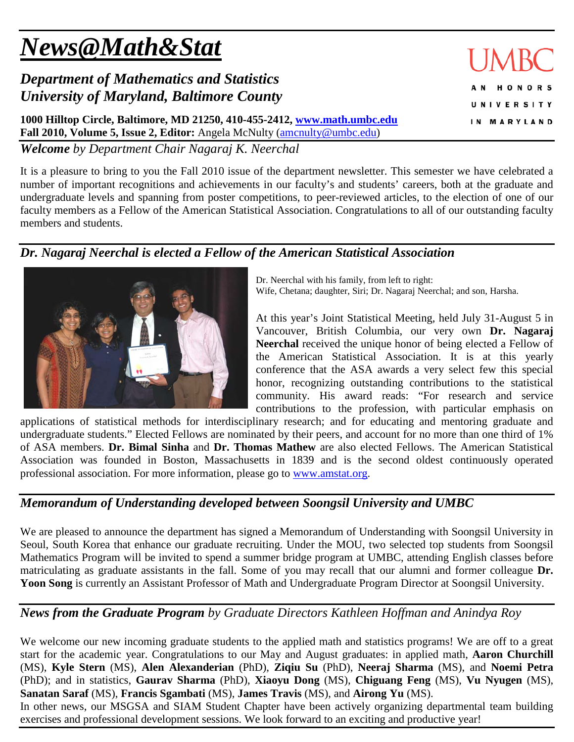# *News@Math&Stat*

## *Department of Mathematics and Statistics University of Maryland, Baltimore County*

**1000 Hilltop Circle, Baltimore, MD 21250, 410-455-2412, [www.math.umbc.edu](http://www.math.umbc.edu/) Fall 2010, Volume 5, Issue 2, Editor:** Angela McNulty [\(amcnulty@umbc.edu\)](mailto:amcnulty@umbc.edu)

*Welcome by Department Chair Nagaraj K. Neerchal*

It is a pleasure to bring to you the Fall 2010 issue of the department newsletter. This semester we have celebrated a number of important recognitions and achievements in our faculty's and students' careers, both at the graduate and undergraduate levels and spanning from poster competitions, to peer-reviewed articles, to the election of one of our faculty members as a Fellow of the American Statistical Association. Congratulations to all of our outstanding faculty

#### *Dr. Nagaraj Neerchal is elected a Fellow of the American Statistical Association*

Dr. Neerchal with his family, from left to right: Wife, Chetana; daughter, Siri; Dr. Nagaraj Neerchal; and son, Harsha.

At this year's Joint Statistical Meeting, held July 31-August 5 in Vancouver, British Columbia, our very own **Dr. Nagaraj Neerchal** received the unique honor of being elected a Fellow of the American Statistical Association. It is at this yearly conference that the ASA awards a very select few this special honor, recognizing outstanding contributions to the statistical community. His award reads: "For research and service contributions to the profession, with particular emphasis on

applications of statistical methods for interdisciplinary research; and for educating and mentoring graduate and undergraduate students." Elected Fellows are nominated by their peers, and account for no more than one third of 1% of ASA members. **Dr. Bimal Sinha** and **Dr. Thomas Mathew** are also elected Fellows. The American Statistical Association was founded in Boston, Massachusetts in 1839 and is the second oldest continuously operated professional association. For more information, please go to [www.amstat.org.](http://www.amstat.org/)

#### *Memorandum of Understanding developed between Soongsil University and UMBC*

We are pleased to announce the department has signed a Memorandum of Understanding with Soongsil University in Seoul, South Korea that enhance our graduate recruiting. Under the MOU, two selected top students from Soongsil Mathematics Program will be invited to spend a summer bridge program at UMBC, attending English classes before matriculating as graduate assistants in the fall. Some of you may recall that our alumni and former colleague **Dr. Yoon Song** is currently an Assistant Professor of Math and Undergraduate Program Director at Soongsil University.

#### *News from the Graduate Program by Graduate Directors Kathleen Hoffman and Anindya Roy*

We welcome our new incoming graduate students to the applied math and statistics programs! We are off to a great start for the academic year. Congratulations to our May and August graduates: in applied math, **Aaron Churchill** (MS), **Kyle Stern** (MS), **Alen Alexanderian** (PhD), **Ziqiu Su** (PhD), **Neeraj Sharma** (MS), and **Noemi Petra** (PhD); and in statistics, **Gaurav Sharma** (PhD), **Xiaoyu Dong** (MS), **Chiguang Feng** (MS), **Vu Nyugen** (MS), **Sanatan Saraf** (MS), **Francis Sgambati** (MS), **James Travis** (MS), and **Airong Yu** (MS).

In other news, our MSGSA and SIAM Student Chapter have been actively organizing departmental team building exercises and professional development sessions. We look forward to an exciting and productive year!



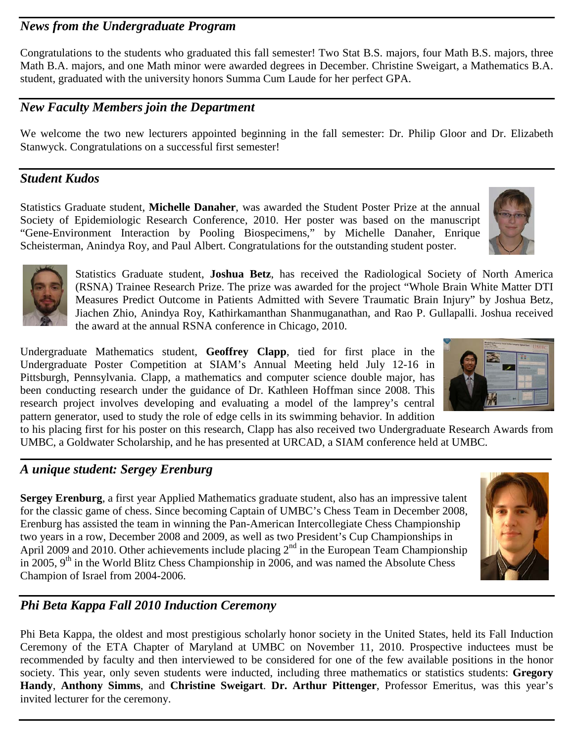#### *News from the Undergraduate Program*

Congratulations to the students who graduated this fall semester! Two Stat B.S. majors, four Math B.S. majors, three Math B.A. majors, and one Math minor were awarded degrees in December. Christine Sweigart, a Mathematics B.A. student, graduated with the university honors Summa Cum Laude for her perfect GPA.

#### *New Faculty Members join the Department*

We welcome the two new lecturers appointed beginning in the fall semester: Dr. Philip Gloor and Dr. Elizabeth Stanwyck. Congratulations on a successful first semester!

#### *Student Kudos*

Statistics Graduate student, **Michelle Danaher**, was awarded the Student Poster Prize at the annual Society of Epidemiologic Research Conference, 2010. Her poster was based on the manuscript "Gene-Environment Interaction by Pooling Biospecimens," by Michelle Danaher, Enrique Scheisterman, Anindya Roy, and Paul Albert. Congratulations for the outstanding student poster.

> Statistics Graduate student, **Joshua Betz**, has received the Radiological Society of North America (RSNA) Trainee Research Prize. The prize was awarded for the project "Whole Brain White Matter DTI Measures Predict Outcome in Patients Admitted with Severe Traumatic Brain Injury" by Joshua Betz, Jiachen Zhio, Anindya Roy, Kathirkamanthan Shanmuganathan, and Rao P. Gullapalli. Joshua received the award at the annual RSNA conference in Chicago, 2010.

Undergraduate Mathematics student, **Geoffrey Clapp**, tied for first place in the Undergraduate Poster Competition at SIAM's Annual Meeting held July 12-16 in Pittsburgh, Pennsylvania. Clapp, a mathematics and computer science double major, has been conducting research under the guidance of Dr. Kathleen Hoffman since 2008. This research project involves developing and evaluating a model of the lamprey's central pattern generator, used to study the role of edge cells in its swimming behavior. In addition

to his placing first for his poster on this research, Clapp has also received two Undergraduate Research Awards from UMBC, a Goldwater Scholarship, and he has presented at URCAD, a SIAM conference held at UMBC.

#### *A unique student: Sergey Erenburg*

**Sergey Erenburg**, a first year Applied Mathematics graduate student, also has an impressive talent for the classic game of chess. Since becoming Captain of UMBC's Chess Team in December 2008, Erenburg has assisted the team in winning the Pan-American Intercollegiate Chess Championship two years in a row, December 2008 and 2009, as well as two President's Cup Championships in April 2009 and 2010. Other achievements include placing  $2<sup>nd</sup>$  in the European Team Championship in 2005,  $9<sup>th</sup>$  in the World Blitz Chess Championship in 2006, and was named the Absolute Chess Champion of Israel from 2004-2006.

#### *Phi Beta Kappa Fall 2010 Induction Ceremony*

Phi Beta Kappa, the oldest and most prestigious scholarly honor society in the United States, held its Fall Induction Ceremony of the ETA Chapter of Maryland at UMBC on November 11, 2010. Prospective inductees must be recommended by faculty and then interviewed to be considered for one of the few available positions in the honor society. This year, only seven students were inducted, including three mathematics or statistics students: **Gregory Handy**, **Anthony Simms**, and **Christine Sweigart**. **Dr. Arthur Pittenger**, Professor Emeritus, was this year's invited lecturer for the ceremony.







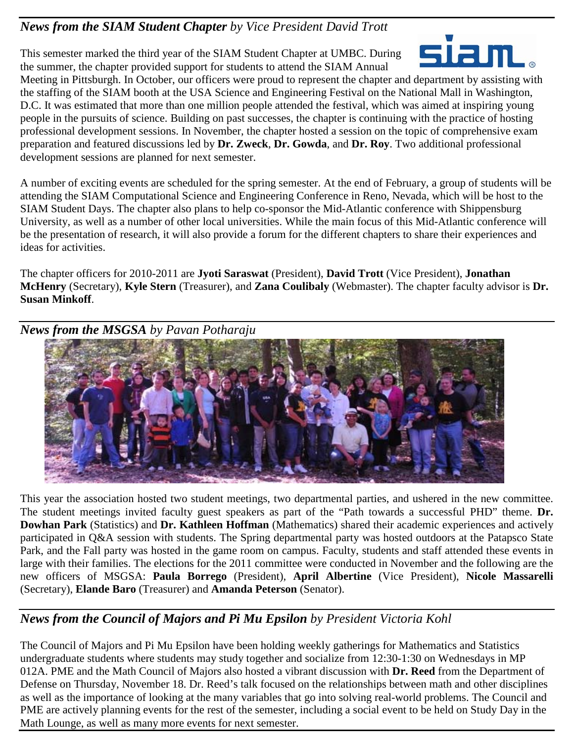#### *News from the SIAM Student Chapter by Vice President David Trott*

This semester marked the third year of the SIAM Student Chapter at UMBC. During the summer, the chapter provided support for students to attend the SIAM Annual



Meeting in Pittsburgh. In October, our officers were proud to represent the chapter and department by assisting with the staffing of the SIAM booth at the USA Science and Engineering Festival on the National Mall in Washington, D.C. It was estimated that more than one million people attended the festival, which was aimed at inspiring young people in the pursuits of science. Building on past successes, the chapter is continuing with the practice of hosting professional development sessions. In November, the chapter hosted a session on the topic of comprehensive exam preparation and featured discussions led by **Dr. Zweck**, **Dr. Gowda**, and **Dr. Roy**. Two additional professional development sessions are planned for next semester.

A number of exciting events are scheduled for the spring semester. At the end of February, a group of students will be attending the SIAM Computational Science and Engineering Conference in Reno, Nevada, which will be host to the SIAM Student Days. The chapter also plans to help co-sponsor the Mid-Atlantic conference with Shippensburg University, as well as a number of other local universities. While the main focus of this Mid-Atlantic conference will be the presentation of research, it will also provide a forum for the different chapters to share their experiences and ideas for activities.

The chapter officers for 2010-2011 are **Jyoti Saraswat** (President), **David Trott** (Vice President), **Jonathan McHenry** (Secretary), **Kyle Stern** (Treasurer), and **Zana Coulibaly** (Webmaster). The chapter faculty advisor is **Dr. Susan Minkoff**.

*News from the MSGSA by Pavan Potharaju*



This year the association hosted two student meetings, two departmental parties, and ushered in the new committee. The student meetings invited faculty guest speakers as part of the "Path towards a successful PHD" theme. **Dr. Dowhan Park** (Statistics) and **Dr. Kathleen Hoffman** (Mathematics) shared their academic experiences and actively participated in Q&A session with students. The Spring departmental party was hosted outdoors at the Patapsco State Park, and the Fall party was hosted in the game room on campus. Faculty, students and staff attended these events in large with their families. The elections for the 2011 committee were conducted in November and the following are the new officers of MSGSA: **Paula Borrego** (President), **April Albertine** (Vice President), **Nicole Massarelli** (Secretary), **Elande Baro** (Treasurer) and **Amanda Peterson** (Senator).

#### *News from the Council of Majors and Pi Mu Epsilon by President Victoria Kohl*

The Council of Majors and Pi Mu Epsilon have been holding weekly gatherings for Mathematics and Statistics undergraduate students where students may study together and socialize from 12:30-1:30 on Wednesdays in MP 012A. PME and the Math Council of Majors also hosted a vibrant discussion with **Dr. Reed** from the Department of Defense on Thursday, November 18. Dr. Reed's talk focused on the relationships between math and other disciplines as well as the importance of looking at the many variables that go into solving real-world problems. The Council and PME are actively planning events for the rest of the semester, including a social event to be held on Study Day in the Math Lounge, as well as many more events for next semester.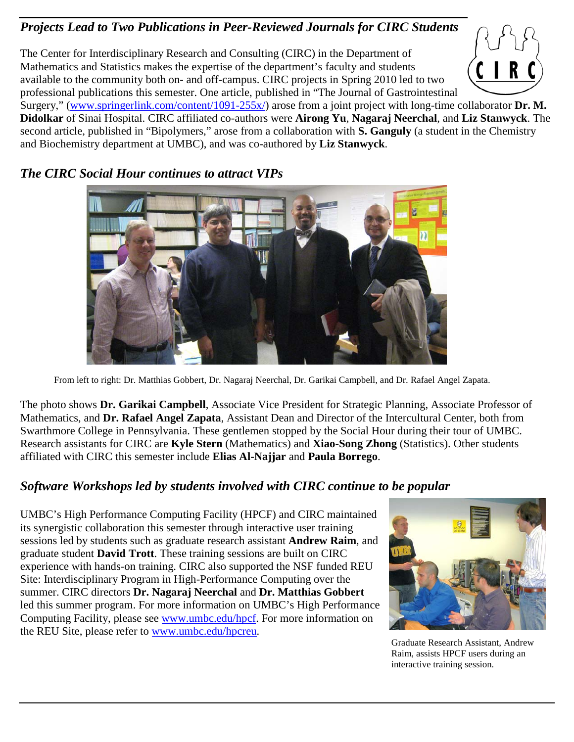## *Projects Lead to Two Publications in Peer-Reviewed Journals for CIRC Students*

The Center for Interdisciplinary Research and Consulting (CIRC) in the Department of Mathematics and Statistics makes the expertise of the department's faculty and students available to the community both on- and off-campus. CIRC projects in Spring 2010 led to two professional publications this semester. One article, published in "The Journal of Gastrointestinal

Surgery," [\(www.springerlink.com/content/1091-255x/\)](http://www.springerlink.com/content/1091-255x/) arose from a joint project with long-time collaborator **Dr. M. Didolkar** of Sinai Hospital. CIRC affiliated co-authors were **Airong Yu**, **Nagaraj Neerchal**, and **Liz Stanwyck**. The second article, published in "Bipolymers," arose from a collaboration with **S. Ganguly** (a student in the Chemistry and Biochemistry department at UMBC), and was co-authored by **Liz Stanwyck**.

#### *The CIRC Social Hour continues to attract VIPs*



From left to right: Dr. Matthias Gobbert, Dr. Nagaraj Neerchal, Dr. Garikai Campbell, and Dr. Rafael Angel Zapata.

The photo shows **Dr. Garikai Campbell**, Associate Vice President for Strategic Planning, Associate Professor of Mathematics, and **Dr. Rafael Angel Zapata**, Assistant Dean and Director of the Intercultural Center, both from Swarthmore College in Pennsylvania. These gentlemen stopped by the Social Hour during their tour of UMBC. Research assistants for CIRC are **Kyle Stern** (Mathematics) and **Xiao-Song Zhong** (Statistics). Other students affiliated with CIRC this semester include **Elias Al-Najjar** and **Paula Borrego**.

#### *Software Workshops led by students involved with CIRC continue to be popular*

UMBC's High Performance Computing Facility (HPCF) and CIRC maintained its synergistic collaboration this semester through interactive user training sessions led by students such as graduate research assistant **Andrew Raim**, and graduate student **David Trott**. These training sessions are built on CIRC experience with hands-on training. CIRC also supported the NSF funded REU Site: Interdisciplinary Program in High-Performance Computing over the summer. CIRC directors **Dr. Nagaraj Neerchal** and **Dr. Matthias Gobbert** led this summer program. For more information on UMBC's High Performance Computing Facility, please see [www.umbc.edu/hpcf.](http://www.umbc.edu/hpcf) For more information on the REU Site, please refer to [www.umbc.edu/hpcreu.](http://www.umbc.edu/hpcreu)<br>Graduate Research Assistant, Andrew



Raim, assists HPCF users during an interactive training session.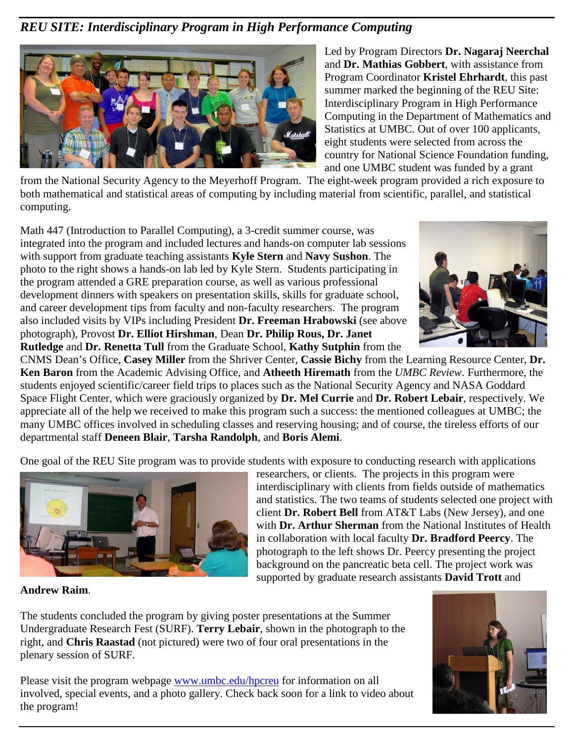## *REU SITE: Interdisciplinary Program in High Performance Computing*



Led by Program Directors **Dr. Nagaraj Neerchal**  and **Dr. Mathias Gobbert**, with assistance from Program Coordinator **Kristel Ehrhardt**, this past summer marked the beginning of the REU Site: Interdisciplinary Program in High Performance Computing in the Department of Mathematics and Statistics at UMBC. Out of over 100 applicants, eight students were selected from across the country for National Science Foundation funding, and one UMBC student was funded by a grant

from the National Security Agency to the Meyerhoff Program. The eight-week program provided a rich exposure to both mathematical and statistical areas of computing by including material from scientific, parallel, and statistical computing.

Math 447 (Introduction to Parallel Computing), a 3-credit summer course, was integrated into the program and included lectures and hands-on computer lab sessions with support from graduate teaching assistants **Kyle Stern** and **Navy Sushon**. The photo to the right shows a hands-on lab led by Kyle Stern. Students participating in the program attended a GRE preparation course, as well as various professional development dinners with speakers on presentation skills, skills for graduate school, and career development tips from faculty and non-faculty researchers. The program also included visits by VIPs including President **Dr. Freeman Hrabowski** (see above photograph), Provost **Dr. Elliot Hirshman**, Dean **Dr. Philip Rous, Dr. Janet Rutledge** and **Dr. Renetta Tull** from the Graduate School, **Kathy Sutphin** from the



CNMS Dean's Office, **Casey Miller** from the Shriver Center, **Cassie Bichy** from the Learning Resource Center, **Dr. Ken Baron** from the Academic Advising Office, and **Atheeth Hiremath** from the *UMBC Review*. Furthermore, the students enjoyed scientific/career field trips to places such as the National Security Agency and NASA Goddard Space Flight Center, which were graciously organized by **Dr. Mel Currie** and **Dr. Robert Lebair**, respectively. We appreciate all of the help we received to make this program such a success: the mentioned colleagues at UMBC; the many UMBC offices involved in scheduling classes and reserving housing; and of course, the tireless efforts of our departmental staff **Deneen Blair**, **Tarsha Randolph**, and **Boris Alemi**.

One goal of the REU Site program was to provide students with exposure to conducting research with applications



researchers, or clients. The projects in this program were interdisciplinary with clients from fields outside of mathematics and statistics. The two teams of students selected one project with client **Dr. Robert Bell** from AT&T Labs (New Jersey), and one with **Dr. Arthur Sherman** from the National Institutes of Health in collaboration with local faculty **Dr. Bradford Peercy**. The photograph to the left shows Dr. Peercy presenting the project background on the pancreatic beta cell. The project work was supported by graduate research assistants **David Trott** and

**Andrew Raim**.

The students concluded the program by giving poster presentations at the Summer Undergraduate Research Fest (SURF). **Terry Lebair**, shown in the photograph to the right, and **Chris Raastad** (not pictured) were two of four oral presentations in the plenary session of SURF.

Please visit the program webpage www.umbc.edu/hpcreu for information on all involved, special events, and a photo gallery. Check back soon for a link to video about the program!

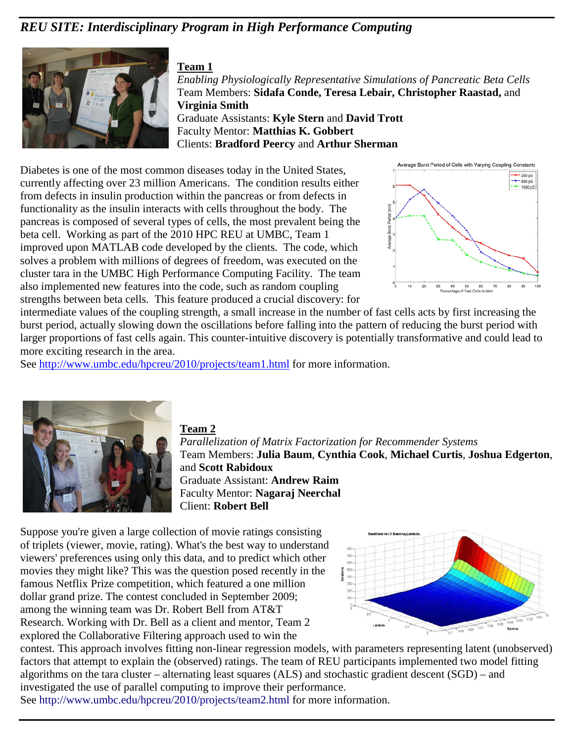## *REU SITE: Interdisciplinary Program in High Performance Computing*



#### **Team 1**

*Enabling Physiologically Representative Simulations of Pancreatic Beta Cells*  Team Members: **Sidafa Conde, Teresa Lebair, Christopher Raastad,** and **Virginia Smith** Graduate Assistants: **Kyle Stern** and **David Trott** Faculty Mentor: **Matthias K. Gobbert** Clients: **Bradford Peercy** and **Arthur Sherman**

Diabetes is one of the most common diseases today in the United States, currently affecting over 23 million Americans. The condition results either from defects in insulin production within the pancreas or from defects in functionality as the insulin interacts with cells throughout the body. The pancreas is composed of several types of cells, the most prevalent being the beta cell. Working as part of the 2010 HPC REU at UMBC, Team 1 improved upon MATLAB code developed by the clients. The code, which solves a problem with millions of degrees of freedom, was executed on the cluster tara in the UMBC High Performance Computing Facility. The team also implemented new features into the code, such as random coupling strengths between beta cells. This feature produced a crucial discovery: for



intermediate values of the coupling strength, a small increase in the number of fast cells acts by first increasing the burst period, actually slowing down the oscillations before falling into the pattern of reducing the burst period with larger proportions of fast cells again. This counter-intuitive discovery is potentially transformative and could lead to more exciting research in the area.

See<http://www.umbc.edu/hpcreu/2010/projects/team1.html> for more information.



#### **Team 2**

*Parallelization of Matrix Factorization for Recommender Systems* Team Members: **Julia Baum**, **Cynthia Cook**, **Michael Curtis**, **Joshua Edgerton**, and **Scott Rabidoux** Graduate Assistant: **Andrew Raim** Faculty Mentor: **Nagaraj Neerchal** Client: **Robert Bell**

Suppose you're given a large collection of movie ratings consisting of triplets (viewer, movie, rating). What's the best way to understand viewers' preferences using only this data, and to predict which other movies they might like? This was the question posed recently in the famous Netflix Prize competition, which featured a one million dollar grand prize. The contest concluded in September 2009; among the winning team was Dr. Robert Bell from AT&T Research. Working with Dr. Bell as a client and mentor, Team 2 explored the Collaborative Filtering approach used to win the



contest. This approach involves fitting non-linear regression models, with parameters representing latent (unobserved) factors that attempt to explain the (observed) ratings. The team of REU participants implemented two model fitting algorithms on the tara cluster – alternating least squares (ALS) and stochastic gradient descent (SGD) – and investigated the use of parallel computing to improve their performance. See http://www.umbc.edu/hpcreu/2010/projects/team2.html for more information.